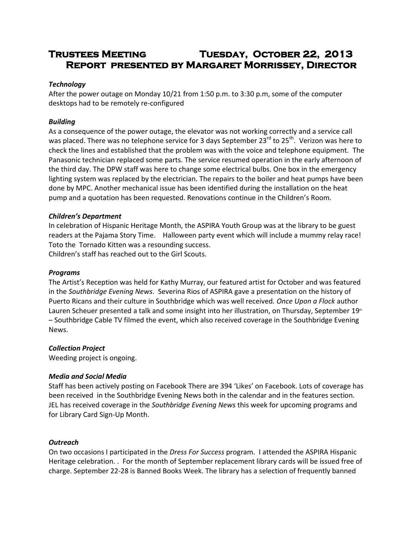# **Trustees Meeting Tuesday, October 22, 2013 Report presented by Margaret Morrissey, Director**

## *Technology*

After the power outage on Monday 10/21 from 1:50 p.m. to 3:30 p.m, some of the computer desktops had to be remotely re-configured

## *Building*

As a consequence of the power outage, the elevator was not working correctly and a service call was placed. There was no telephone service for 3 days September 23<sup>rd</sup> to 25<sup>th</sup>. Verizon was here to check the lines and established that the problem was with the voice and telephone equipment. The Panasonic technician replaced some parts. The service resumed operation in the early afternoon of the third day. The DPW staff was here to change some electrical bulbs. One box in the emergency lighting system was replaced by the electrician. The repairs to the boiler and heat pumps have been done by MPC. Another mechanical issue has been identified during the installation on the heat pump and a quotation has been requested. Renovations continue in the Children's Room.

#### *Children's Department*

In celebration of Hispanic Heritage Month, the ASPIRA Youth Group was at the library to be guest readers at the Pajama Story Time. Halloween party event which will include a mummy relay race! Toto the Tornado Kitten was a resounding success.

Children's staff has reached out to the Girl Scouts.

#### *Programs*

The Artist's Reception was held for Kathy Murray, our featured artist for October and was featured in the *Southbridge Evening News*. Severina Rios of ASPIRA gave a presentation on the history of Puerto Ricans and their culture in Southbridge which was well received. *Once Upon a Flock* author Lauren Scheuer presented a talk and some insight into her illustration, on Thursday, September 19<sup>th</sup> – Southbridge Cable TV filmed the event, which also received coverage in the Southbridge Evening News.

#### *Collection Project*

Weeding project is ongoing.

#### *Media and Social Media*

Staff has been actively posting on Facebook There are 394 'Likes' on Facebook. Lots of coverage has been received in the Southbridge Evening News both in the calendar and in the features section. JEL has received coverage in the *Southbridge Evening News* this week for upcoming programs and for Library Card Sign-Up Month.

#### *Outreach*

On two occasions I participated in the *Dress For Success* program. I attended the ASPIRA Hispanic Heritage celebration. . For the month of September replacement library cards will be issued free of charge. September 22-28 is Banned Books Week. The library has a selection of frequently banned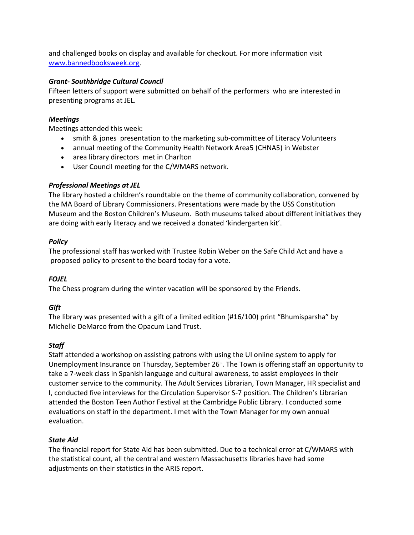and challenged books on display and available for checkout. For more information visit [www.bannedbooksweek.org.](http://www.bannedbooksweek.org/)

## *Grant- Southbridge Cultural Council*

Fifteen letters of support were submitted on behalf of the performers who are interested in presenting programs at JEL.

## *Meetings*

Meetings attended this week:

- smith & jones presentation to the marketing sub-committee of Literacy Volunteers
- annual meeting of the Community Health Network Area5 (CHNA5) in Webster
- area library directors met in Charlton
- User Council meeting for the C/WMARS network.

# *Professional Meetings at JEL*

The library hosted a children's roundtable on the theme of community collaboration, convened by the MA Board of Library Commissioners. Presentations were made by the USS Constitution Museum and the Boston Children's Museum. Both museums talked about different initiatives they are doing with early literacy and we received a donated 'kindergarten kit'.

# *Policy*

The professional staff has worked with Trustee Robin Weber on the Safe Child Act and have a proposed policy to present to the board today for a vote.

# *FOJEL*

The Chess program during the winter vacation will be sponsored by the Friends.

# *Gift*

The library was presented with a gift of a limited edition (#16/100) print "Bhumisparsha" by Michelle DeMarco from the Opacum Land Trust.

# *Staff*

Staff attended a workshop on assisting patrons with using the UI online system to apply for Unemployment Insurance on Thursday, September 26<sup>th</sup>. The Town is offering staff an opportunity to take a 7-week class in Spanish language and cultural awareness, to assist employees in their customer service to the community. The Adult Services Librarian, Town Manager, HR specialist and I, conducted five interviews for the Circulation Supervisor S-7 position. The Children's Librarian attended the Boston Teen Author Festival at the Cambridge Public Library. I conducted some evaluations on staff in the department. I met with the Town Manager for my own annual evaluation.

## *State Aid*

The financial report for State Aid has been submitted. Due to a technical error at C/WMARS with the statistical count, all the central and western Massachusetts libraries have had some adjustments on their statistics in the ARIS report.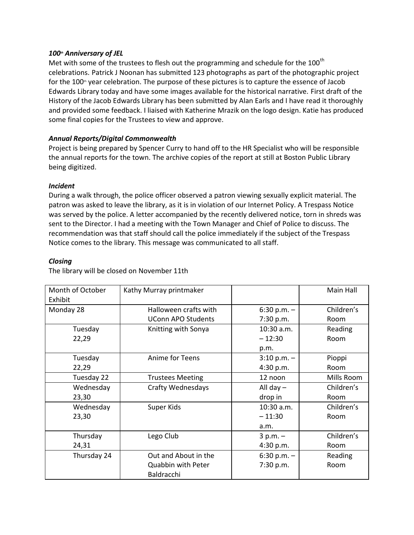## *100th Anniversary of JEL*

Met with some of the trustees to flesh out the programming and schedule for the  $100<sup>th</sup>$ celebrations. Patrick J Noonan has submitted 123 photographs as part of the photographic project for the 100<sup>th</sup> year celebration. The purpose of these pictures is to capture the essence of Jacob Edwards Library today and have some images available for the historical narrative. First draft of the History of the Jacob Edwards Library has been submitted by Alan Earls and I have read it thoroughly and provided some feedback. I liaised with Katherine Mrazik on the logo design. Katie has produced some final copies for the Trustees to view and approve.

## *Annual Reports/Digital Commonwealth*

Project is being prepared by Spencer Curry to hand off to the HR Specialist who will be responsible the annual reports for the town. The archive copies of the report at still at Boston Public Library being digitized.

#### *Incident*

During a walk through, the police officer observed a patron viewing sexually explicit material. The patron was asked to leave the library, as it is in violation of our Internet Policy. A Trespass Notice was served by the police. A letter accompanied by the recently delivered notice, torn in shreds was sent to the Director. I had a meeting with the Town Manager and Chief of Police to discuss. The recommendation was that staff should call the police immediately if the subject of the Trespass Notice comes to the library. This message was communicated to all staff.

#### *Closing*

The library will be closed on November 11th

| Month of October<br>Exhibit | Kathy Murray printmaker   |               | Main Hall  |
|-----------------------------|---------------------------|---------------|------------|
| Monday 28                   | Halloween crafts with     | $6:30 p.m. -$ | Children's |
|                             | <b>UConn APO Students</b> | 7:30 p.m.     | Room       |
| Tuesday                     | Knitting with Sonya       | 10:30 a.m.    | Reading    |
| 22,29                       |                           | $-12:30$      | Room       |
|                             |                           | p.m.          |            |
| Tuesday                     | Anime for Teens           | $3:10 p.m. -$ | Pioppi     |
| 22,29                       |                           | 4:30 p.m.     | Room       |
| Tuesday 22                  | <b>Trustees Meeting</b>   | 12 noon       | Mills Room |
| Wednesday                   | <b>Crafty Wednesdays</b>  | All day $-$   | Children's |
| 23,30                       |                           | drop in       | Room       |
| Wednesday                   | Super Kids                | $10:30$ a.m.  | Children's |
| 23,30                       |                           | $-11:30$      | Room       |
|                             |                           | a.m.          |            |
| Thursday                    | Lego Club                 | $3 p.m. -$    | Children's |
| 24,31                       |                           | 4:30 p.m.     | Room       |
| Thursday 24                 | Out and About in the      | 6:30 p.m. $-$ | Reading    |
|                             | <b>Quabbin with Peter</b> | 7:30 p.m.     | Room       |
|                             | Baldracchi                |               |            |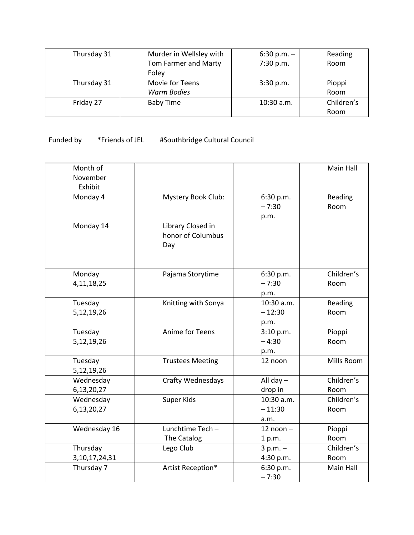| Thursday 31 | Murder in Wellsley with | $6:30 p.m. -$ | Reading    |
|-------------|-------------------------|---------------|------------|
|             | Tom Farmer and Marty    | 7:30 p.m.     | Room       |
|             | Foley                   |               |            |
| Thursday 31 | Movie for Teens         | 3:30 p.m.     | Pioppi     |
|             | <b>Warm Bodies</b>      |               | Room       |
| Friday 27   | <b>Baby Time</b>        | $10:30$ a.m.  | Children's |
|             |                         |               | Room       |

# Funded by \*Friends of JEL #Southbridge Cultural Council

| Month of<br>November<br>Exhibit |                                               |                                | Main Hall          |
|---------------------------------|-----------------------------------------------|--------------------------------|--------------------|
| Monday 4                        | Mystery Book Club:                            | 6:30 p.m.<br>$-7:30$<br>p.m.   | Reading<br>Room    |
| Monday 14                       | Library Closed in<br>honor of Columbus<br>Day |                                |                    |
| Monday<br>4, 11, 18, 25         | Pajama Storytime                              | 6:30 p.m.<br>$-7:30$<br>p.m.   | Children's<br>Room |
| Tuesday<br>5,12,19,26           | Knitting with Sonya                           | 10:30 a.m.<br>$-12:30$<br>p.m. | Reading<br>Room    |
| Tuesday<br>5,12,19,26           | Anime for Teens                               | 3:10 p.m.<br>$-4:30$<br>p.m.   | Pioppi<br>Room     |
| Tuesday<br>5,12,19,26           | <b>Trustees Meeting</b>                       | 12 noon                        | Mills Room         |
| Wednesday<br>6,13,20,27         | Crafty Wednesdays                             | All day $-$<br>drop in         | Children's<br>Room |
| Wednesday<br>6,13,20,27         | Super Kids                                    | 10:30 a.m.<br>$-11:30$<br>a.m. | Children's<br>Room |
| Wednesday 16                    | Lunchtime Tech-<br>The Catalog                | $12$ noon $-$<br>1 p.m.        | Pioppi<br>Room     |
| Thursday<br>3, 10, 17, 24, 31   | Lego Club                                     | $3 p.m. -$<br>4:30 p.m.        | Children's<br>Room |
| Thursday 7                      | Artist Reception*                             | 6:30 p.m.<br>$-7:30$           | Main Hall          |